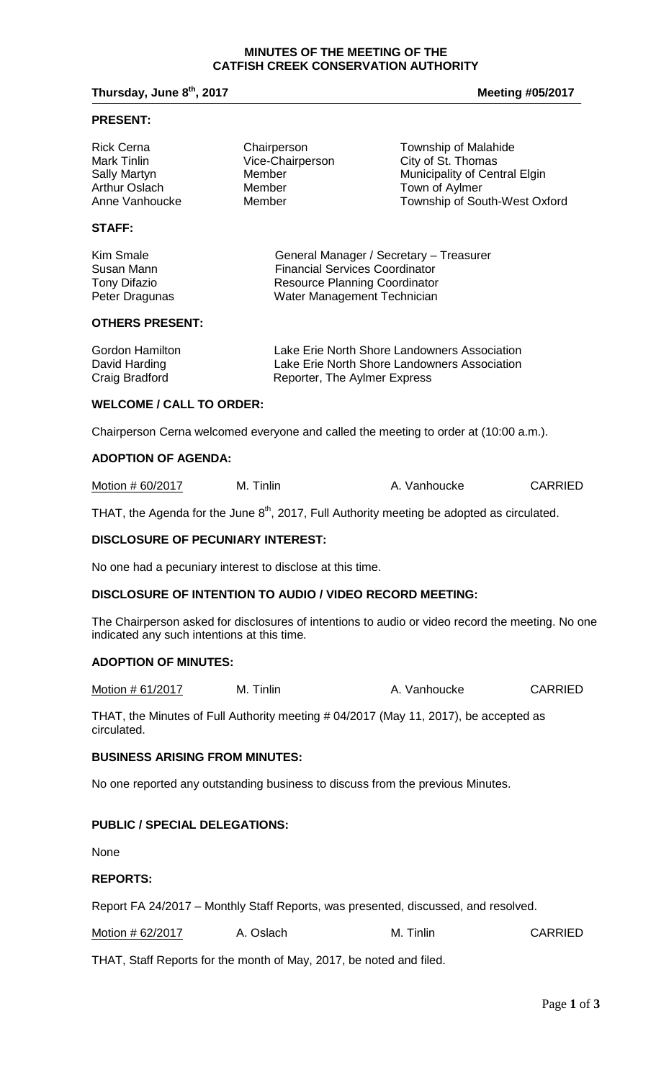#### **MINUTES OF THE MEETING OF THE CATFISH CREEK CONSERVATION AUTHORITY**

# **Thursday, June 8<sup>th</sup>, 2017 Meeting #05/2017**

#### **PRESENT:**

| <b>Rick Cerna</b>    | Chairperson      | Township of Malahide          |
|----------------------|------------------|-------------------------------|
| Mark Tinlin          | Vice-Chairperson | City of St. Thomas            |
| <b>Sally Martyn</b>  | Member           | Municipality of Central Elgin |
| <b>Arthur Oslach</b> | Member           | Town of Aylmer                |
| Anne Vanhoucke       | Member           | Township of South-West Oxford |
|                      |                  |                               |

# **STAFF:**

| General Manager / Secretary - Treasurer |
|-----------------------------------------|
| <b>Financial Services Coordinator</b>   |
| <b>Resource Planning Coordinator</b>    |
| Water Management Technician             |
|                                         |

#### **OTHERS PRESENT:**

| Gordon Hamilton | Lake Erie North Shore Landowners Association |
|-----------------|----------------------------------------------|
| David Harding   | Lake Erie North Shore Landowners Association |
| Craig Bradford  | Reporter, The Aylmer Express                 |

### **WELCOME / CALL TO ORDER:**

Chairperson Cerna welcomed everyone and called the meeting to order at (10:00 a.m.).

#### **ADOPTION OF AGENDA:**

| Motion # 60/2017 | M. Tinlin | A. Vanhoucke | <b>CARRIED</b> |
|------------------|-----------|--------------|----------------|
|------------------|-----------|--------------|----------------|

THAT, the Agenda for the June  $8<sup>th</sup>$ , 2017, Full Authority meeting be adopted as circulated.

#### **DISCLOSURE OF PECUNIARY INTEREST:**

No one had a pecuniary interest to disclose at this time.

#### **DISCLOSURE OF INTENTION TO AUDIO / VIDEO RECORD MEETING:**

The Chairperson asked for disclosures of intentions to audio or video record the meeting. No one indicated any such intentions at this time.

## **ADOPTION OF MINUTES:**

Motion # 61/2017 M. Tinlin M. Tinlin A. Vanhoucke CARRIED

THAT, the Minutes of Full Authority meeting # 04/2017 (May 11, 2017), be accepted as circulated.

### **BUSINESS ARISING FROM MINUTES:**

No one reported any outstanding business to discuss from the previous Minutes.

#### **PUBLIC / SPECIAL DELEGATIONS:**

None

#### **REPORTS:**

Report FA 24/2017 – Monthly Staff Reports, was presented, discussed, and resolved.

| Motion # 62/2017 | A. Oslach | M. Tinlin | <b>CARRIED</b> |
|------------------|-----------|-----------|----------------|
|------------------|-----------|-----------|----------------|

THAT, Staff Reports for the month of May, 2017, be noted and filed.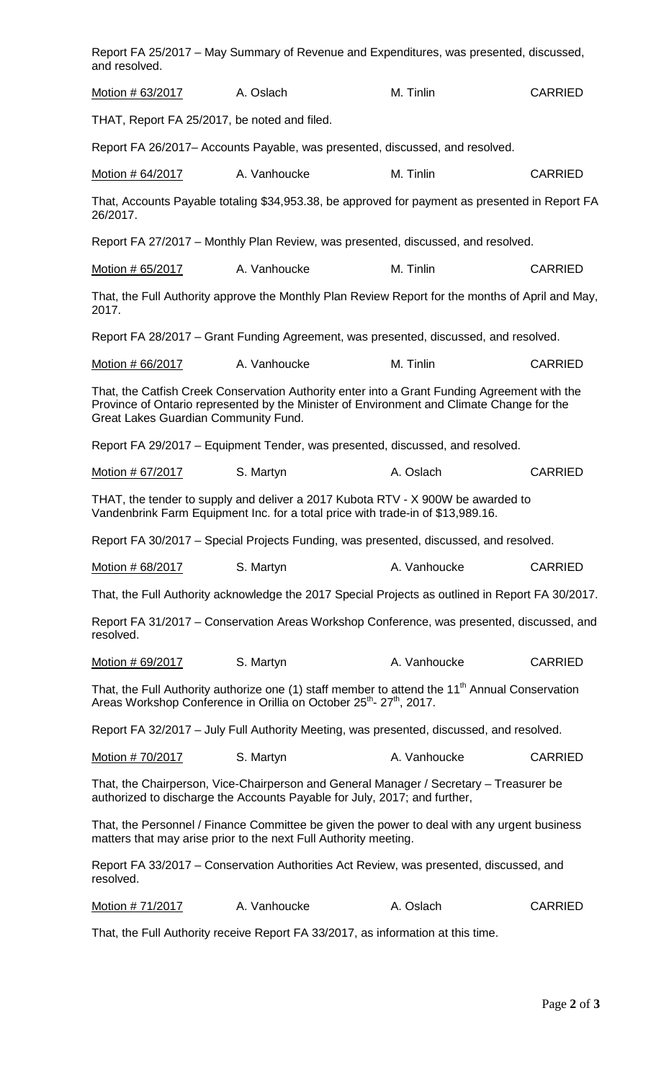| Report FA 25/2017 – May Summary of Revenue and Expenditures, was presented, discussed,<br>and resolved.                                                                                                                           |                                                                                                  |              |                |  |
|-----------------------------------------------------------------------------------------------------------------------------------------------------------------------------------------------------------------------------------|--------------------------------------------------------------------------------------------------|--------------|----------------|--|
| Motion # 63/2017                                                                                                                                                                                                                  | A. Oslach                                                                                        | M. Tinlin    | <b>CARRIED</b> |  |
|                                                                                                                                                                                                                                   | THAT, Report FA 25/2017, be noted and filed.                                                     |              |                |  |
|                                                                                                                                                                                                                                   | Report FA 26/2017– Accounts Payable, was presented, discussed, and resolved.                     |              |                |  |
| Motion # 64/2017                                                                                                                                                                                                                  | A. Vanhoucke                                                                                     | M. Tinlin    | <b>CARRIED</b> |  |
| 26/2017.                                                                                                                                                                                                                          | That, Accounts Payable totaling \$34,953.38, be approved for payment as presented in Report FA   |              |                |  |
|                                                                                                                                                                                                                                   | Report FA 27/2017 – Monthly Plan Review, was presented, discussed, and resolved.                 |              |                |  |
| Motion # 65/2017                                                                                                                                                                                                                  | A. Vanhoucke                                                                                     | M. Tinlin    | <b>CARRIED</b> |  |
| 2017.                                                                                                                                                                                                                             | That, the Full Authority approve the Monthly Plan Review Report for the months of April and May, |              |                |  |
|                                                                                                                                                                                                                                   | Report FA 28/2017 – Grant Funding Agreement, was presented, discussed, and resolved.             |              |                |  |
| Motion # 66/2017                                                                                                                                                                                                                  | A. Vanhoucke                                                                                     | M. Tinlin    | <b>CARRIED</b> |  |
| That, the Catfish Creek Conservation Authority enter into a Grant Funding Agreement with the<br>Province of Ontario represented by the Minister of Environment and Climate Change for the<br>Great Lakes Guardian Community Fund. |                                                                                                  |              |                |  |
|                                                                                                                                                                                                                                   | Report FA 29/2017 – Equipment Tender, was presented, discussed, and resolved.                    |              |                |  |
| Motion # 67/2017                                                                                                                                                                                                                  | S. Martyn                                                                                        | A. Oslach    | <b>CARRIED</b> |  |
| THAT, the tender to supply and deliver a 2017 Kubota RTV - X 900W be awarded to<br>Vandenbrink Farm Equipment Inc. for a total price with trade-in of \$13,989.16.                                                                |                                                                                                  |              |                |  |
|                                                                                                                                                                                                                                   | Report FA 30/2017 - Special Projects Funding, was presented, discussed, and resolved.            |              |                |  |
| Motion # 68/2017                                                                                                                                                                                                                  | S. Martyn                                                                                        | A. Vanhoucke | <b>CARRIED</b> |  |
|                                                                                                                                                                                                                                   | That, the Full Authority acknowledge the 2017 Special Projects as outlined in Report FA 30/2017. |              |                |  |
| resolved.                                                                                                                                                                                                                         | Report FA 31/2017 – Conservation Areas Workshop Conference, was presented, discussed, and        |              |                |  |
| Motion # 69/2017                                                                                                                                                                                                                  | S. Martyn                                                                                        | A. Vanhoucke | <b>CARRIED</b> |  |
| That, the Full Authority authorize one (1) staff member to attend the 11 <sup>th</sup> Annual Conservation<br>Areas Workshop Conference in Orillia on October 25 <sup>th</sup> - 27 <sup>th</sup> , 2017.                         |                                                                                                  |              |                |  |
| Report FA 32/2017 - July Full Authority Meeting, was presented, discussed, and resolved.                                                                                                                                          |                                                                                                  |              |                |  |
| Motion # 70/2017                                                                                                                                                                                                                  | S. Martyn                                                                                        | A. Vanhoucke | <b>CARRIED</b> |  |
| That, the Chairperson, Vice-Chairperson and General Manager / Secretary – Treasurer be<br>authorized to discharge the Accounts Payable for July, 2017; and further,                                                               |                                                                                                  |              |                |  |
| That, the Personnel / Finance Committee be given the power to deal with any urgent business<br>matters that may arise prior to the next Full Authority meeting.                                                                   |                                                                                                  |              |                |  |
| Report FA 33/2017 – Conservation Authorities Act Review, was presented, discussed, and<br>resolved.                                                                                                                               |                                                                                                  |              |                |  |
| <u>Motion # 71/2017</u>                                                                                                                                                                                                           | A. Vanhoucke                                                                                     | A. Oslach    | <b>CARRIED</b> |  |
|                                                                                                                                                                                                                                   | That, the Full Authority receive Report FA 33/2017, as information at this time.                 |              |                |  |